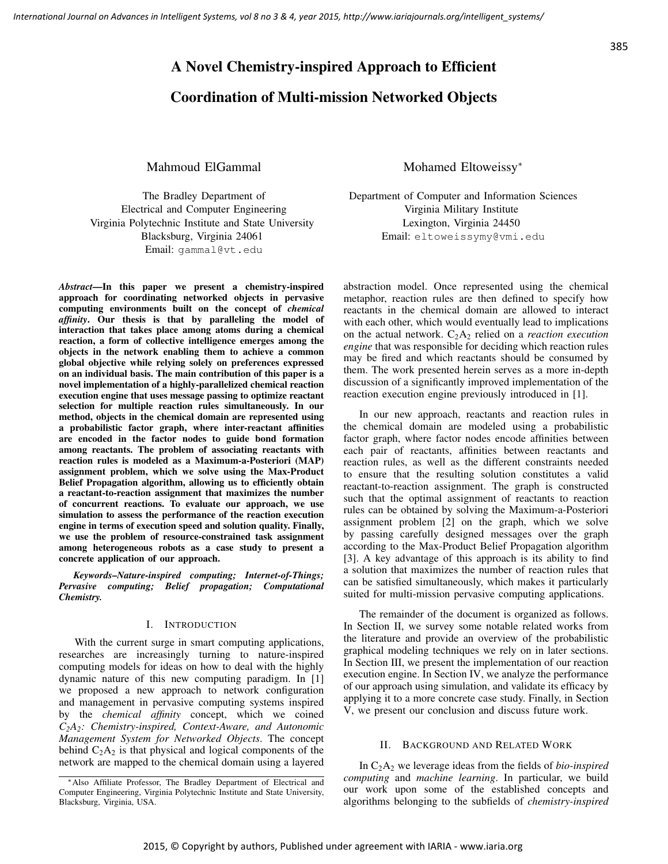# A Novel Chemistry-inspired Approach to Efficient

# Coordination of Multi-mission Networked Objects

Mahmoud ElGammal

The Bradley Department of Electrical and Computer Engineering Virginia Polytechnic Institute and State University Blacksburg, Virginia 24061 Email: gammal@vt.edu

*Abstract*—In this paper we present a chemistry-inspired approach for coordinating networked objects in pervasive computing environments built on the concept of *chemical affinity*. Our thesis is that by paralleling the model of interaction that takes place among atoms during a chemical reaction, a form of collective intelligence emerges among the objects in the network enabling them to achieve a common global objective while relying solely on preferences expressed on an individual basis. The main contribution of this paper is a novel implementation of a highly-parallelized chemical reaction execution engine that uses message passing to optimize reactant selection for multiple reaction rules simultaneously. In our method, objects in the chemical domain are represented using a probabilistic factor graph, where inter-reactant affinities are encoded in the factor nodes to guide bond formation among reactants. The problem of associating reactants with reaction rules is modeled as a Maximum-a-Posteriori (MAP) assignment problem, which we solve using the Max-Product Belief Propagation algorithm, allowing us to efficiently obtain a reactant-to-reaction assignment that maximizes the number of concurrent reactions. To evaluate our approach, we use simulation to assess the performance of the reaction execution engine in terms of execution speed and solution quality. Finally, we use the problem of resource-constrained task assignment among heterogeneous robots as a case study to present a concrete application of our approach.

*Keywords*–*Nature-inspired computing; Internet-of-Things; Pervasive computing; Belief propagation; Computational Chemistry.*

# I. INTRODUCTION

With the current surge in smart computing applications, researches are increasingly turning to nature-inspired computing models for ideas on how to deal with the highly dynamic nature of this new computing paradigm. In [1] we proposed a new approach to network configuration and management in pervasive computing systems inspired by the *chemical affinity* concept, which we coined *C2A2: Chemistry-inspired, Context-Aware, and Autonomic Management System for Networked Objects*. The concept behind  $C_2A_2$  is that physical and logical components of the network are mapped to the chemical domain using a layered Mohamed Eltoweissy<sup>∗</sup>

Department of Computer and Information Sciences Virginia Military Institute Lexington, Virginia 24450 Email: eltoweissymy@vmi.edu

abstraction model. Once represented using the chemical metaphor, reaction rules are then defined to specify how reactants in the chemical domain are allowed to interact with each other, which would eventually lead to implications on the actual network.  $C_2A_2$  relied on a *reaction execution engine* that was responsible for deciding which reaction rules may be fired and which reactants should be consumed by them. The work presented herein serves as a more in-depth discussion of a significantly improved implementation of the reaction execution engine previously introduced in [1].

In our new approach, reactants and reaction rules in the chemical domain are modeled using a probabilistic factor graph, where factor nodes encode affinities between each pair of reactants, affinities between reactants and reaction rules, as well as the different constraints needed to ensure that the resulting solution constitutes a valid reactant-to-reaction assignment. The graph is constructed such that the optimal assignment of reactants to reaction rules can be obtained by solving the Maximum-a-Posteriori assignment problem [2] on the graph, which we solve by passing carefully designed messages over the graph according to the Max-Product Belief Propagation algorithm [3]. A key advantage of this approach is its ability to find a solution that maximizes the number of reaction rules that can be satisfied simultaneously, which makes it particularly suited for multi-mission pervasive computing applications.

The remainder of the document is organized as follows. In Section II, we survey some notable related works from the literature and provide an overview of the probabilistic graphical modeling techniques we rely on in later sections. In Section III, we present the implementation of our reaction execution engine. In Section IV, we analyze the performance of our approach using simulation, and validate its efficacy by applying it to a more concrete case study. Finally, in Section V, we present our conclusion and discuss future work.

# II. BACKGROUND AND RELATED WORK

In C2A<sup>2</sup> we leverage ideas from the fields of *bio-inspired computing* and *machine learning*. In particular, we build our work upon some of the established concepts and algorithms belonging to the subfields of *chemistry-inspired*

<sup>∗</sup>Also Affiliate Professor, The Bradley Department of Electrical and Computer Engineering, Virginia Polytechnic Institute and State University, Blacksburg, Virginia, USA.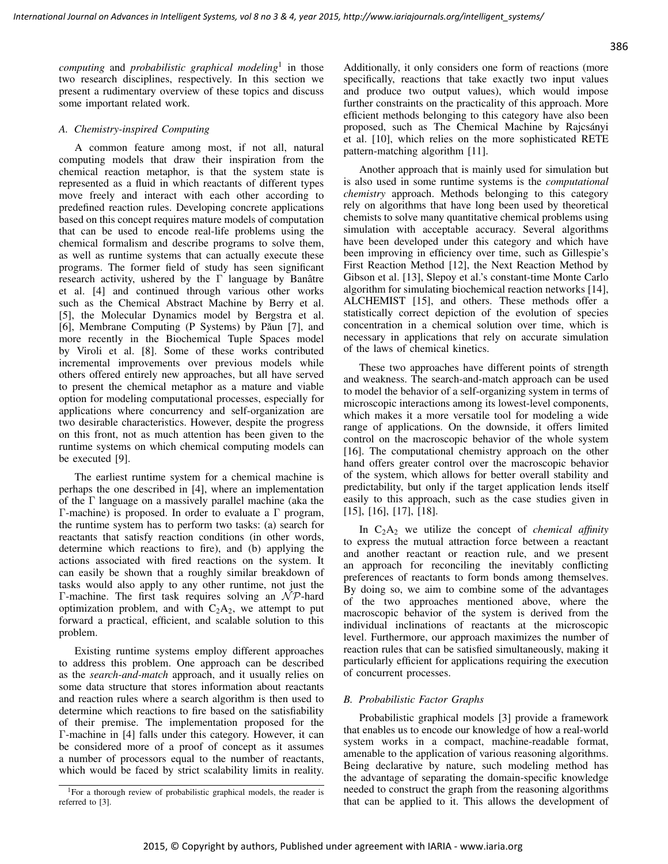*computing* and *probabilistic graphical modeling*<sup>1</sup> in those two research disciplines, respectively. In this section we present a rudimentary overview of these topics and discuss some important related work.

## *A. Chemistry-inspired Computing*

A common feature among most, if not all, natural computing models that draw their inspiration from the chemical reaction metaphor, is that the system state is represented as a fluid in which reactants of different types move freely and interact with each other according to predefined reaction rules. Developing concrete applications based on this concept requires mature models of computation that can be used to encode real-life problems using the chemical formalism and describe programs to solve them, as well as runtime systems that can actually execute these programs. The former field of study has seen significant research activity, ushered by the Γ language by Banâtre et al. [4] and continued through various other works such as the Chemical Abstract Machine by Berry et al. [5], the Molecular Dynamics model by Bergstra et al. [6], Membrane Computing (P Systems) by Păun [7], and more recently in the Biochemical Tuple Spaces model by Viroli et al. [8]. Some of these works contributed incremental improvements over previous models while others offered entirely new approaches, but all have served to present the chemical metaphor as a mature and viable option for modeling computational processes, especially for applications where concurrency and self-organization are two desirable characteristics. However, despite the progress on this front, not as much attention has been given to the runtime systems on which chemical computing models can be executed [9].

The earliest runtime system for a chemical machine is perhaps the one described in [4], where an implementation of the Γ language on a massively parallel machine (aka the Γ-machine) is proposed. In order to evaluate a Γ program, the runtime system has to perform two tasks: (a) search for reactants that satisfy reaction conditions (in other words, determine which reactions to fire), and (b) applying the actions associated with fired reactions on the system. It can easily be shown that a roughly similar breakdown of tasks would also apply to any other runtime, not just the Γ-machine. The first task requires solving an  $N$ P-hard optimization problem, and with  $C_2A_2$ , we attempt to put forward a practical, efficient, and scalable solution to this problem.

Existing runtime systems employ different approaches to address this problem. One approach can be described as the *search-and-match* approach, and it usually relies on some data structure that stores information about reactants and reaction rules where a search algorithm is then used to determine which reactions to fire based on the satisfiability of their premise. The implementation proposed for the Γ-machine in [4] falls under this category. However, it can be considered more of a proof of concept as it assumes a number of processors equal to the number of reactants, which would be faced by strict scalability limits in reality.

Additionally, it only considers one form of reactions (more specifically, reactions that take exactly two input values and produce two output values), which would impose further constraints on the practicality of this approach. More efficient methods belonging to this category have also been proposed, such as The Chemical Machine by Rajcsányi et al. [10], which relies on the more sophisticated RETE pattern-matching algorithm [11].

Another approach that is mainly used for simulation but is also used in some runtime systems is the *computational chemistry* approach. Methods belonging to this category rely on algorithms that have long been used by theoretical chemists to solve many quantitative chemical problems using simulation with acceptable accuracy. Several algorithms have been developed under this category and which have been improving in efficiency over time, such as Gillespie's First Reaction Method [12], the Next Reaction Method by Gibson et al. [13], Slepoy et al.'s constant-time Monte Carlo algorithm for simulating biochemical reaction networks [14], ALCHEMIST [15], and others. These methods offer a statistically correct depiction of the evolution of species concentration in a chemical solution over time, which is necessary in applications that rely on accurate simulation of the laws of chemical kinetics.

These two approaches have different points of strength and weakness. The search-and-match approach can be used to model the behavior of a self-organizing system in terms of microscopic interactions among its lowest-level components, which makes it a more versatile tool for modeling a wide range of applications. On the downside, it offers limited control on the macroscopic behavior of the whole system [16]. The computational chemistry approach on the other hand offers greater control over the macroscopic behavior of the system, which allows for better overall stability and predictability, but only if the target application lends itself easily to this approach, such as the case studies given in [15], [16], [17], [18].

In C2A<sup>2</sup> we utilize the concept of *chemical affinity* to express the mutual attraction force between a reactant and another reactant or reaction rule, and we present an approach for reconciling the inevitably conflicting preferences of reactants to form bonds among themselves. By doing so, we aim to combine some of the advantages of the two approaches mentioned above, where the macroscopic behavior of the system is derived from the individual inclinations of reactants at the microscopic level. Furthermore, our approach maximizes the number of reaction rules that can be satisfied simultaneously, making it particularly efficient for applications requiring the execution of concurrent processes.

## *B. Probabilistic Factor Graphs*

Probabilistic graphical models [3] provide a framework that enables us to encode our knowledge of how a real-world system works in a compact, machine-readable format, amenable to the application of various reasoning algorithms. Being declarative by nature, such modeling method has the advantage of separating the domain-specific knowledge needed to construct the graph from the reasoning algorithms that can be applied to it. This allows the development of

<sup>&</sup>lt;sup>1</sup>For a thorough review of probabilistic graphical models, the reader is referred to [3].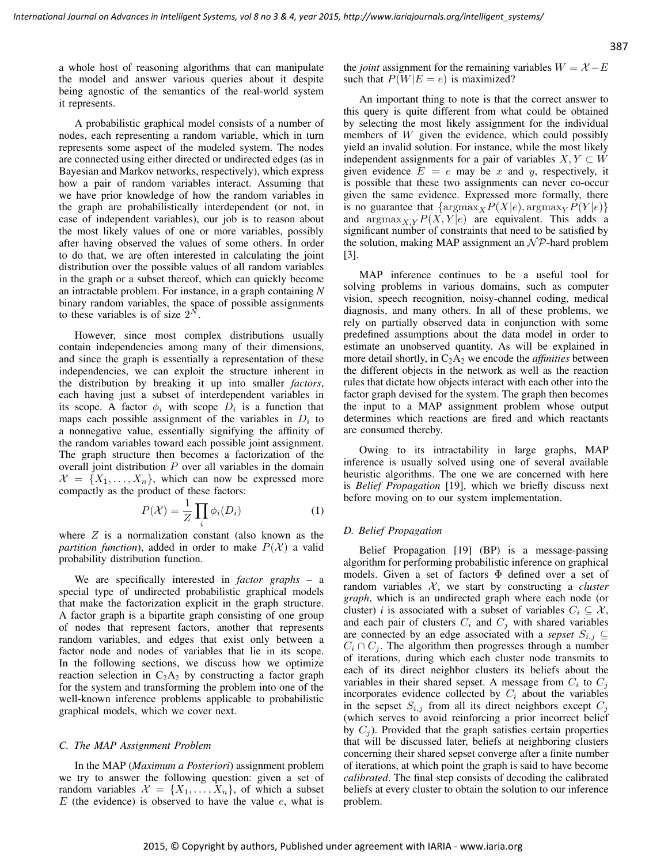a whole host of reasoning algorithms that can manipulate the model and answer various queries about it despite being agnostic of the semantics of the real-world system it represents.

A probabilistic graphical model consists of a number of nodes, each representing a random variable, which in turn represents some aspect of the modeled system. The nodes are connected using either directed or undirected edges (as in Bayesian and Markov networks, respectively), which express how a pair of random variables interact. Assuming that we have prior knowledge of how the random variables in the graph are probabilistically interdependent (or not, in case of independent variables), our job is to reason about the most likely values of one or more variables, possibly after having observed the values of some others. In order to do that, we are often interested in calculating the joint distribution over the possible values of all random variables in the graph or a subset thereof, which can quickly become an intractable problem. For instance, in a graph containing *N* binary random variables, the space of possible assignments to these variables is of size  $2^N$ .

However, since most complex distributions usually contain independencies among many of their dimensions, and since the graph is essentially a representation of these independencies, we can exploit the structure inherent in the distribution by breaking it up into smaller *factors*, each having just a subset of interdependent variables in its scope. A factor  $\phi_i$  with scope  $D_i$  is a function that maps each possible assignment of the variables in  $D_i$  to a nonnegative value, essentially signifying the affinity of the random variables toward each possible joint assignment. The graph structure then becomes a factorization of the overall joint distribution  $P$  over all variables in the domain  $\mathcal{X} = \{X_1, \ldots, X_n\}$ , which can now be expressed more compactly as the product of these factors:

$$
P(\mathcal{X}) = \frac{1}{Z} \prod_{i} \phi_i(D_i)
$$
 (1)

where  $Z$  is a normalization constant (also known as the *partition function*), added in order to make  $P(X)$  a valid probability distribution function.

We are specifically interested in *factor graphs* – a special type of undirected probabilistic graphical models that make the factorization explicit in the graph structure. A factor graph is a bipartite graph consisting of one group of nodes that represent factors, another that represents random variables, and edges that exist only between a factor node and nodes of variables that lie in its scope. In the following sections, we discuss how we optimize reaction selection in  $C_2A_2$  by constructing a factor graph for the system and transforming the problem into one of the well-known inference problems applicable to probabilistic graphical models, which we cover next.

#### *C. The MAP Assignment Problem*

In the MAP (*Maximum a Posteriori*) assignment problem we try to answer the following question: given a set of random variables  $\mathcal{X} = \{X_1, \ldots, X_n\}$ , of which a subset  $E$  (the evidence) is observed to have the value  $e$ , what is the *joint* assignment for the remaining variables  $W = X - E$ such that  $P(W|E = e)$  is maximized?

An important thing to note is that the correct answer to this query is quite different from what could be obtained by selecting the most likely assignment for the individual members of W given the evidence, which could possibly yield an invalid solution. For instance, while the most likely independent assignments for a pair of variables  $X, Y \subset W$ given evidence  $E = e$  may be x and y, respectively, it is possible that these two assignments can never co-occur given the same evidence. Expressed more formally, there is no guarantee that  $\{ \operatorname{argmax}_{X} P(X|e), \operatorname{argmax}_{Y} P(Y|e) \}$ and  $\argmax_{X, Y} P(X, Y | e)$  are equivalent. This adds a significant number of constraints that need to be satisfied by the solution, making MAP assignment an  $\mathcal{NP}$ -hard problem [3].

MAP inference continues to be a useful tool for solving problems in various domains, such as computer vision, speech recognition, noisy-channel coding, medical diagnosis, and many others. In all of these problems, we rely on partially observed data in conjunction with some predefined assumptions about the data model in order to estimate an unobserved quantity. As will be explained in more detail shortly, in  $C_2A_2$  we encode the *affinities* between the different objects in the network as well as the reaction rules that dictate how objects interact with each other into the factor graph devised for the system. The graph then becomes the input to a MAP assignment problem whose output determines which reactions are fired and which reactants are consumed thereby.

Owing to its intractability in large graphs, MAP inference is usually solved using one of several available heuristic algorithms. The one we are concerned with here is *Belief Propagation* [19], which we briefly discuss next before moving on to our system implementation.

#### *D. Belief Propagation*

Belief Propagation [19] (BP) is a message-passing algorithm for performing probabilistic inference on graphical models. Given a set of factors Φ defined over a set of random variables  $X$ , we start by constructing a *cluster graph*, which is an undirected graph where each node (or cluster) *i* is associated with a subset of variables  $C_i \subseteq \mathcal{X}$ , and each pair of clusters  $C_i$  and  $C_j$  with shared variables are connected by an edge associated with a *sepset*  $S_{i,j} \subseteq$  $C_i \cap C_j$ . The algorithm then progresses through a number of iterations, during which each cluster node transmits to each of its direct neighbor clusters its beliefs about the variables in their shared sepset. A message from  $C_i$  to  $C_j$ incorporates evidence collected by  $C_i$  about the variables in the sepset  $S_{i,j}$  from all its direct neighbors except  $C_j$ (which serves to avoid reinforcing a prior incorrect belief by  $C_i$ ). Provided that the graph satisfies certain properties that will be discussed later, beliefs at neighboring clusters concerning their shared sepset converge after a finite number of iterations, at which point the graph is said to have become *calibrated*. The final step consists of decoding the calibrated beliefs at every cluster to obtain the solution to our inference problem.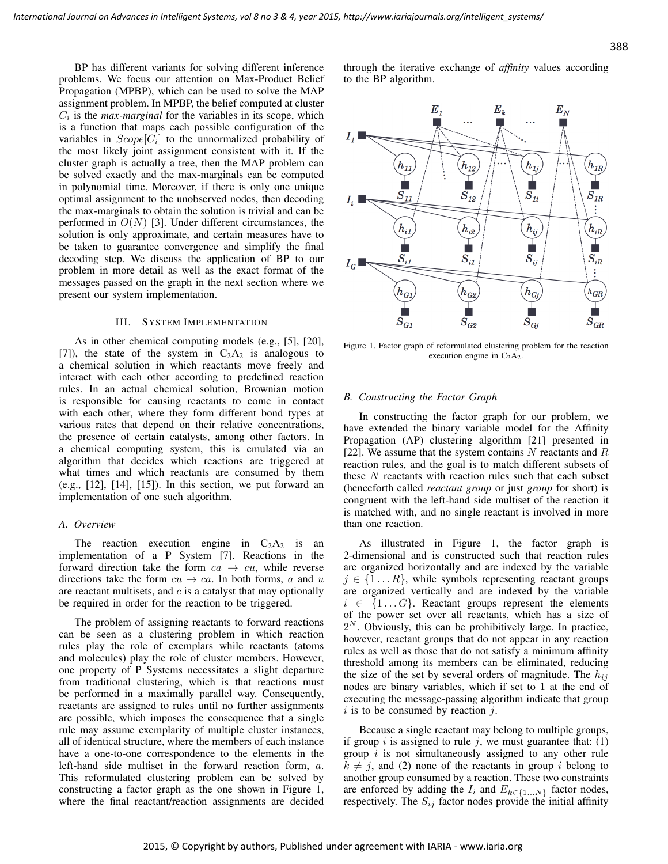BP has different variants for solving different inference problems. We focus our attention on Max-Product Belief Propagation (MPBP), which can be used to solve the MAP assignment problem. In MPBP, the belief computed at cluster  $C_i$  is the *max-marginal* for the variables in its scope, which is a function that maps each possible configuration of the variables in  $Scope[C_i]$  to the unnormalized probability of the most likely joint assignment consistent with it. If the cluster graph is actually a tree, then the MAP problem can be solved exactly and the max-marginals can be computed in polynomial time. Moreover, if there is only one unique optimal assignment to the unobserved nodes, then decoding the max-marginals to obtain the solution is trivial and can be performed in  $O(N)$  [3]. Under different circumstances, the solution is only approximate, and certain measures have to be taken to guarantee convergence and simplify the final decoding step. We discuss the application of BP to our problem in more detail as well as the exact format of the messages passed on the graph in the next section where we present our system implementation.

## III. SYSTEM IMPLEMENTATION

As in other chemical computing models (e.g., [5], [20], [7]), the state of the system in  $C_2A_2$  is analogous to a chemical solution in which reactants move freely and interact with each other according to predefined reaction rules. In an actual chemical solution, Brownian motion is responsible for causing reactants to come in contact with each other, where they form different bond types at various rates that depend on their relative concentrations, the presence of certain catalysts, among other factors. In a chemical computing system, this is emulated via an algorithm that decides which reactions are triggered at what times and which reactants are consumed by them (e.g., [12], [14], [15]). In this section, we put forward an implementation of one such algorithm.

#### *A. Overview*

The reaction execution engine in  $C_2A_2$  is an implementation of a P System [7]. Reactions in the forward direction take the form  $ca \rightarrow cu$ , while reverse directions take the form  $cu \rightarrow ca$ . In both forms, a and u are reactant multisets, and  $c$  is a catalyst that may optionally be required in order for the reaction to be triggered.

The problem of assigning reactants to forward reactions can be seen as a clustering problem in which reaction rules play the role of exemplars while reactants (atoms and molecules) play the role of cluster members. However, one property of P Systems necessitates a slight departure from traditional clustering, which is that reactions must be performed in a maximally parallel way. Consequently, reactants are assigned to rules until no further assignments are possible, which imposes the consequence that a single rule may assume exemplarity of multiple cluster instances, all of identical structure, where the members of each instance have a one-to-one correspondence to the elements in the left-hand side multiset in the forward reaction form, a. This reformulated clustering problem can be solved by constructing a factor graph as the one shown in Figure 1, where the final reactant/reaction assignments are decided through the iterative exchange of *affinity* values according to the BP algorithm.



Figure 1. Factor graph of reformulated clustering problem for the reaction execution engine in  $C_2A_2$ .

#### *B. Constructing the Factor Graph*

In constructing the factor graph for our problem, we have extended the binary variable model for the Affinity Propagation (AP) clustering algorithm [21] presented in [22]. We assume that the system contains  $N$  reactants and  $R$ reaction rules, and the goal is to match different subsets of these  $N$  reactants with reaction rules such that each subset (henceforth called *reactant group* or just *group* for short) is congruent with the left-hand side multiset of the reaction it is matched with, and no single reactant is involved in more than one reaction.

As illustrated in Figure 1, the factor graph is 2-dimensional and is constructed such that reaction rules are organized horizontally and are indexed by the variable  $j \in \{1 \dots R\}$ , while symbols representing reactant groups are organized vertically and are indexed by the variable  $i \in \{1...G\}$ . Reactant groups represent the elements of the power set over all reactants, which has a size of  $2<sup>N</sup>$ . Obviously, this can be prohibitively large. In practice, however, reactant groups that do not appear in any reaction rules as well as those that do not satisfy a minimum affinity threshold among its members can be eliminated, reducing the size of the set by several orders of magnitude. The  $h_{ij}$ nodes are binary variables, which if set to 1 at the end of executing the message-passing algorithm indicate that group  $i$  is to be consumed by reaction  $j$ .

Because a single reactant may belong to multiple groups, if group i is assigned to rule j, we must guarantee that:  $(1)$ group  $i$  is not simultaneously assigned to any other rule  $k \neq j$ , and (2) none of the reactants in group i belong to another group consumed by a reaction. These two constraints are enforced by adding the  $I_i$  and  $E_{k \in \{1...N\}}$  factor nodes, respectively. The  $S_{ij}$  factor nodes provide the initial affinity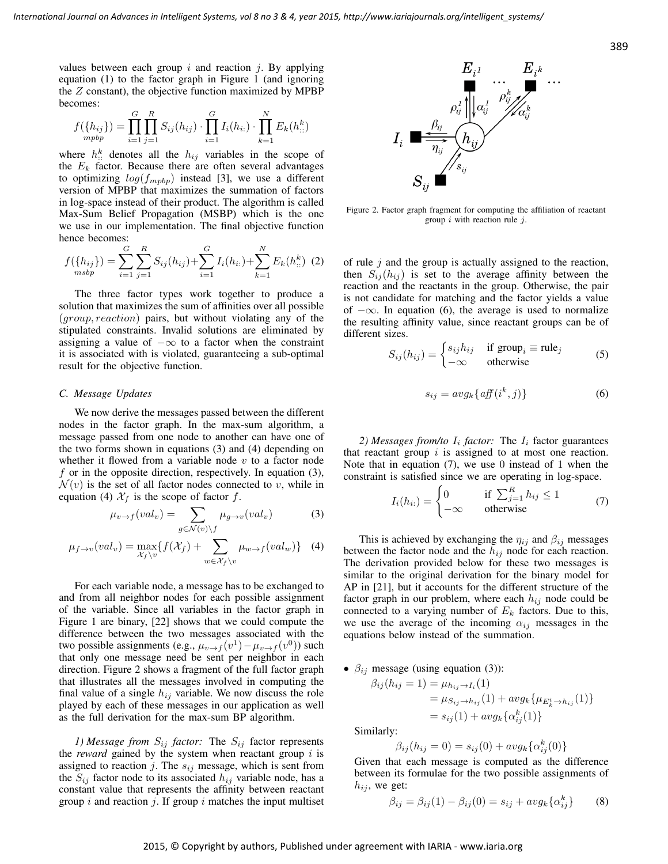values between each group  $i$  and reaction  $j$ . By applying equation (1) to the factor graph in Figure 1 (and ignoring the Z constant), the objective function maximized by MPBP becomes:

$$
f(\lbrace h_{ij} \rbrace) = \prod_{i=1}^{G} \prod_{j=1}^{R} S_{ij}(h_{ij}) \cdot \prod_{i=1}^{G} I_i(h_{i:}) \cdot \prod_{k=1}^{N} E_k(h_{::}^k)
$$

where  $h_{::}^{k}$  denotes all the  $h_{ij}$  variables in the scope of the  $E_k$  factor. Because there are often several advantages to optimizing  $log(f_{mpbp})$  instead [3], we use a different version of MPBP that maximizes the summation of factors in log-space instead of their product. The algorithm is called Max-Sum Belief Propagation (MSBP) which is the one we use in our implementation. The final objective function hence becomes:

$$
f(\lbrace h_{ij} \rbrace) = \sum_{i=1}^{G} \sum_{j=1}^{R} S_{ij}(h_{ij}) + \sum_{i=1}^{G} I_i(h_{i:}) + \sum_{k=1}^{N} E_k(h_{i:}^{k})
$$
 (2)

The three factor types work together to produce a solution that maximizes the sum of affinities over all possible (group, reaction) pairs, but without violating any of the stipulated constraints. Invalid solutions are eliminated by assigning a value of  $-\infty$  to a factor when the constraint it is associated with is violated, guaranteeing a sub-optimal result for the objective function.

# *C. Message Updates*

We now derive the messages passed between the different nodes in the factor graph. In the max-sum algorithm, a message passed from one node to another can have one of the two forms shown in equations (3) and (4) depending on whether it flowed from a variable node  $v$  to a factor node  $f$  or in the opposite direction, respectively. In equation (3),  $\mathcal{N}(v)$  is the set of all factor nodes connected to v, while in equation (4)  $\mathcal{X}_f$  is the scope of factor f.

$$
\mu_{v \to f}(val_v) = \sum_{g \in \mathcal{N}(v) \backslash f} \mu_{g \to v}(val_v) \tag{3}
$$

$$
\mu_{f \to v}(val_v) = \max_{\mathcal{X}_f \setminus v} \{ f(\mathcal{X}_f) + \sum_{w \in \mathcal{X}_f \setminus v} \mu_{w \to f}(val_w) \} \quad (4)
$$

For each variable node, a message has to be exchanged to and from all neighbor nodes for each possible assignment of the variable. Since all variables in the factor graph in Figure 1 are binary, [22] shows that we could compute the difference between the two messages associated with the two possible assignments (e.g.,  $\mu_{v \to f}(v^1) - \mu_{v \to f}(v^0)$ ) such that only one message need be sent per neighbor in each direction. Figure 2 shows a fragment of the full factor graph that illustrates all the messages involved in computing the final value of a single  $h_{ij}$  variable. We now discuss the role played by each of these messages in our application as well as the full derivation for the max-sum BP algorithm.

*1) Message from*  $S_{ij}$  *factor:* The  $S_{ij}$  factor represents the *reward* gained by the system when reactant group  $i$  is assigned to reaction j. The  $s_{ij}$  message, which is sent from the  $S_{ij}$  factor node to its associated  $h_{ij}$  variable node, has a constant value that represents the affinity between reactant group  $i$  and reaction  $j$ . If group  $i$  matches the input multiset



Figure 2. Factor graph fragment for computing the affiliation of reactant group  $i$  with reaction rule  $j$ .

of rule  $j$  and the group is actually assigned to the reaction, then  $S_{ij}(h_{ij})$  is set to the average affinity between the reaction and the reactants in the group. Otherwise, the pair is not candidate for matching and the factor yields a value of  $-\infty$ . In equation (6), the average is used to normalize the resulting affinity value, since reactant groups can be of different sizes.

$$
S_{ij}(h_{ij}) = \begin{cases} s_{ij}h_{ij} & \text{if group}_i \equiv \text{rule}_j \\ -\infty & \text{otherwise} \end{cases}
$$
 (5)

$$
s_{ij} = avg_k\{aff(i^k, j)\}\tag{6}
$$

2) Messages from/to  $I_i$  factor: The  $I_i$  factor guarantees that reactant group  $i$  is assigned to at most one reaction. Note that in equation  $(7)$ , we use 0 instead of 1 when the constraint is satisfied since we are operating in log-space.

$$
I_i(h_{i:}) = \begin{cases} 0 & \text{if } \sum_{j=1}^R h_{ij} \le 1 \\ -\infty & \text{otherwise} \end{cases}
$$
 (7)

This is achieved by exchanging the  $\eta_{ij}$  and  $\beta_{ij}$  messages between the factor node and the  $h_{ij}$  node for each reaction. The derivation provided below for these two messages is similar to the original derivation for the binary model for AP in [21], but it accounts for the different structure of the factor graph in our problem, where each  $h_{ij}$  node could be connected to a varying number of  $E_k$  factors. Due to this, we use the average of the incoming  $\alpha_{ij}$  messages in the equations below instead of the summation.

•  $\beta_{ij}$  message (using equation (3)):

$$
\beta_{ij}(h_{ij} = 1) = \mu_{h_{ij} \to I_i}(1)
$$
  
=  $\mu_{S_{ij} \to h_{ij}}(1) + avg_k \{\mu_{E_k^i \to h_{ij}}(1)\}$   
=  $s_{ij}(1) + avg_k \{\alpha_{ij}^k(1)\}$ 

Similarly:

$$
\beta_{ij}(h_{ij} = 0) = s_{ij}(0) + avg_k\{\alpha_{ij}^k(0)\}
$$

Given that each message is computed as the difference between its formulae for the two possible assignments of  $h_{ij}$ , we get:

$$
\beta_{ij} = \beta_{ij}(1) - \beta_{ij}(0) = s_{ij} + avg_k\{\alpha_{ij}^k\}
$$
 (8)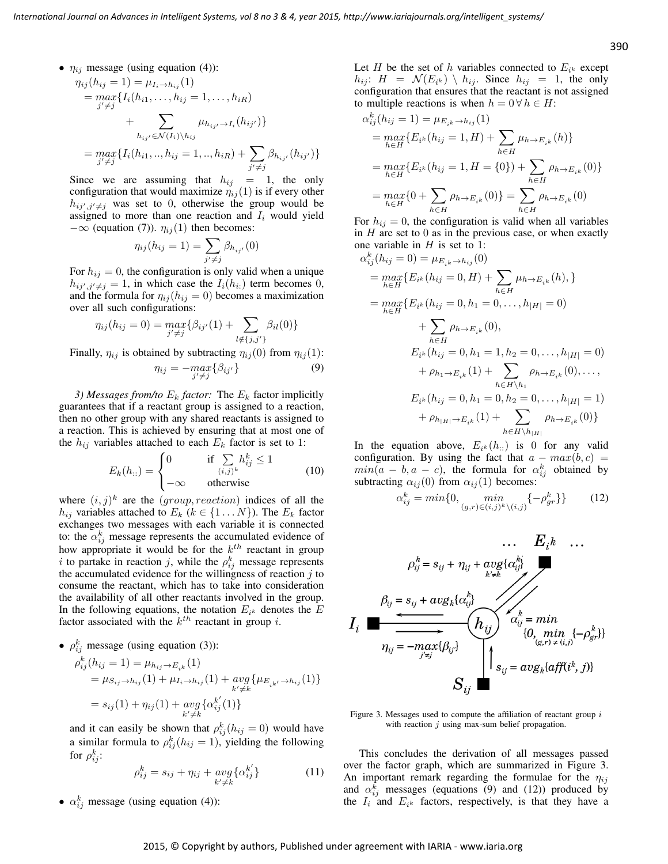•  $\eta_{ij}$  message (using equation (4)):

$$
\eta_{ij}(h_{ij} = 1) = \mu_{I_i \to h_{ij}}(1)
$$
  
= 
$$
\max_{j' \neq j} \{ I_i(h_{i1}, \dots, h_{ij} = 1, \dots, h_{iR})
$$
  
+ 
$$
\sum_{h_{ij'} \in \mathcal{N}(I_i) \setminus h_{ij}} \mu_{h_{ij'} \to I_i}(h_{ij'}) \}
$$
  
= 
$$
\max_{j' \neq j} \{ I_i(h_{i1}, \dots, h_{ij} = 1, \dots, h_{iR}) + \sum_{j' \neq j} \beta_{h_{ij'}}(h_{ij'}) \}
$$

Since we are assuming that  $h_{ij} = 1$ , the only configuration that would maximize  $\eta_{ij}(1)$  is if every other  $h_{ij',j'\neq j}$  was set to 0, otherwise the group would be assigned to more than one reaction and  $I_i$  would yield  $-\infty$  (equation (7)).  $\eta_{ij}(1)$  then becomes:

$$
\eta_{ij}(h_{ij} = 1) = \sum_{j' \neq j} \beta_{h_{ij'}}(0)
$$

For  $h_{ij} = 0$ , the configuration is only valid when a unique  $h_{ij',j'\neq j} = 1$ , in which case the  $I_i(h_{i:})$  term becomes 0, and the formula for  $\eta_{ij}(h_{ij} = 0)$  becomes a maximization over all such configurations:

$$
\eta_{ij}(h_{ij} = 0) = \max_{j' \neq j} \{ \beta_{ij'}(1) + \sum_{l \notin \{j, j'\}} \beta_{il}(0) \}
$$

Finally,  $\eta_{ij}$  is obtained by subtracting  $\eta_{ij}(0)$  from  $\eta_{ij}(1)$ :

$$
\eta_{ij} = -\max_{j' \neq j} \{ \beta_{ij'} \} \tag{9}
$$

*3) Messages from/to*  $E_k$  *factor:* The  $E_k$  factor implicitly guarantees that if a reactant group is assigned to a reaction, then no other group with any shared reactants is assigned to a reaction. This is achieved by ensuring that at most one of the  $h_{ij}$  variables attached to each  $E_k$  factor is set to 1:

$$
E_k(h_{::}) = \begin{cases} 0 & \text{if } \sum_{(i,j)^k} h_{ij}^k \le 1 \\ -\infty & \text{otherwise} \end{cases}
$$
 (10)

where  $(i, j)^k$  are the (group, reaction) indices of all the  $h_{ij}$  variables attached to  $E_k$  ( $k \in \{1...N\}$ ). The  $E_k$  factor exchanges two messages with each variable it is connected to: the  $\alpha_{ij}^k$  message represents the accumulated evidence of how appropriate it would be for the  $k^{th}$  reactant in group i to partake in reaction j, while the  $\rho_{ij}^k$  message represents the accumulated evidence for the willingness of reaction  $j$  to consume the reactant, which has to take into consideration the availability of all other reactants involved in the group. In the following equations, the notation  $E_{i^k}$  denotes the E factor associated with the  $k^{th}$  reactant in group i.

• 
$$
\rho_{ij}^k
$$
 message (using equation (3)):   
\n
$$
\rho_{ij}^k(h_{ij} = 1) = \mu_{h_{ij} \to E_{ik}}(1)
$$
\n
$$
= \mu_{S_{ij} \to h_{ij}}(1) + \mu_{I_i \to h_{ij}}(1) + \underset{k' \neq k}{avg} \{\mu_{E_{ik'} \to h_{ij}}(1)\}
$$
\n
$$
= s_{ij}(1) + \eta_{ij}(1) + \underset{k' \neq k}{avg} \{\alpha_{ij}^{k'}(1)\}
$$

and it can easily be shown that  $\rho_{ij}^k(h_{ij} = 0)$  would have a similar formula to  $\rho_{ij}^k(h_{ij} = 1)$ , yielding the following for  $\rho_{ij}^k$ :

$$
\rho_{ij}^k = s_{ij} + \eta_{ij} + \underset{k' \neq k}{avg} \{ \alpha_{ij}^{k'} \}
$$
 (11)

•  $\alpha_{ij}^k$  message (using equation (4)):

Let H be the set of h variables connected to  $E_{i^k}$  except  $h_{ij}$ :  $H = \mathcal{N}(E_{i^k}) \setminus h_{ij}$ . Since  $h_{ij} = 1$ , the only configuration that ensures that the reactant is not assigned to multiple reactions is when  $h = 0 \forall h \in H$ :

$$
\alpha_{ij}^{k}(h_{ij} = 1) = \mu_{E_{ik} \to h_{ij}}(1)
$$
  
= 
$$
\max_{h \in H} \{ E_{i^k}(h_{ij} = 1, H) + \sum_{h \in H} \mu_{h \to E_{ik}}(h) \}
$$
  
= 
$$
\max_{h \in H} \{ E_{i^k}(h_{ij} = 1, H = \{0\}) + \sum_{h \in H} \rho_{h \to E_{ik}}(0) \}
$$
  
= 
$$
\max_{h \in H} \{ 0 + \sum_{h \in H} \rho_{h \to E_{ik}}(0) \} = \sum_{h \in H} \rho_{h \to E_{ik}}(0)
$$

For  $h_{ij} = 0$ , the configuration is valid when all variables in  $H$  are set to  $0$  as in the previous case, or when exactly one variable in  $H$  is set to 1:

$$
\alpha_{ij}^{k}(h_{ij} = 0) = \mu_{E_{ik} \to h_{ij}}(0)
$$
  
\n
$$
= \max_{h \in H} \{ E_{i^k}(h_{ij} = 0, H) + \sum_{h \in H} \mu_{h \to E_{ik}}(h), \}
$$
  
\n
$$
= \max_{h \in H} \{ E_{i^k}(h_{ij} = 0, h_1 = 0, \dots, h_{|H|} = 0)
$$
  
\n
$$
+ \sum_{h \in H} \rho_{h \to E_{ik}}(0),
$$
  
\n
$$
E_{i^k}(h_{ij} = 0, h_1 = 1, h_2 = 0, \dots, h_{|H|} = 0)
$$
  
\n
$$
+ \rho_{h_1 \to E_{ik}}(1) + \sum_{h \in H \setminus h_1} \rho_{h \to E_{ik}}(0), \dots,
$$
  
\n
$$
E_{i^k}(h_{ij} = 0, h_1 = 0, h_2 = 0, \dots, h_{|H|} = 1)
$$
  
\n
$$
+ \rho_{h_{|H|} \to E_{ik}}(1) + \sum_{h \in H \setminus h_{|H|}} \rho_{h \to E_{ik}}(0) \}
$$

In the equation above,  $E_{i^k}(h)$  is 0 for any valid configuration. By using the fact that  $a - max(b, c)$  =  $min(a - b, a - c)$ , the formula for  $\alpha_{ij}^k$  obtained by subtracting  $\alpha_{ij}(0)$  from  $\alpha_{ij}(1)$  becomes:

$$
\alpha_{ij}^k = \min\{0, \min_{(g,r)\in(i,j)^k\setminus(i,j)}\{-\rho_{gr}^k\}\}\tag{12}
$$



Figure 3. Messages used to compute the affiliation of reactant group  $i$ with reaction  $j$  using max-sum belief propagation.

This concludes the derivation of all messages passed over the factor graph, which are summarized in Figure 3. An important remark regarding the formulae for the  $\eta_{ij}$ and  $\alpha_{ij}^k$  messages (equations (9) and (12)) produced by the  $I_i$  and  $E_{i^k}$  factors, respectively, is that they have a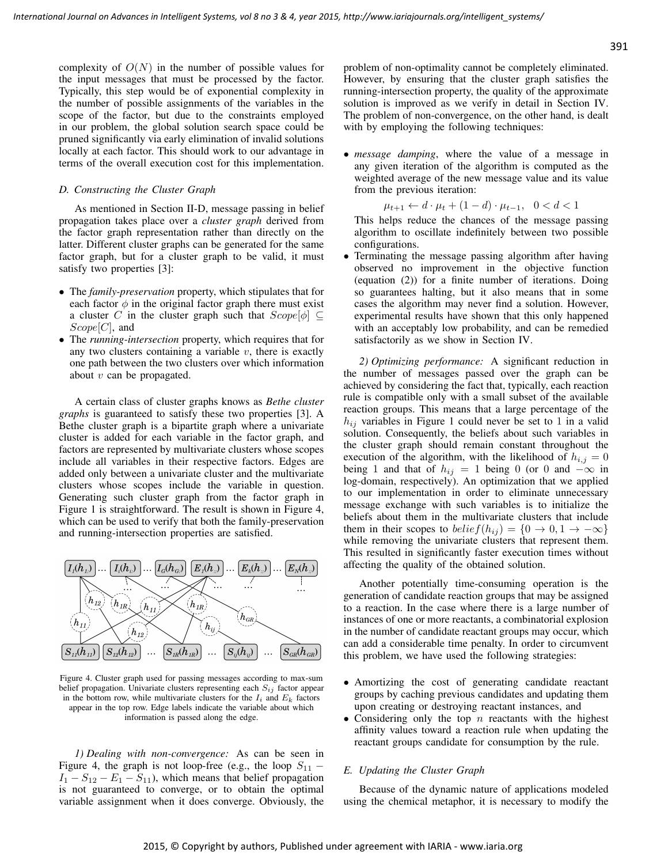complexity of  $O(N)$  in the number of possible values for the input messages that must be processed by the factor. Typically, this step would be of exponential complexity in the number of possible assignments of the variables in the scope of the factor, but due to the constraints employed in our problem, the global solution search space could be pruned significantly via early elimination of invalid solutions locally at each factor. This should work to our advantage in terms of the overall execution cost for this implementation.

### *D. Constructing the Cluster Graph*

As mentioned in Section II-D, message passing in belief propagation takes place over a *cluster graph* derived from the factor graph representation rather than directly on the latter. Different cluster graphs can be generated for the same factor graph, but for a cluster graph to be valid, it must satisfy two properties [3]:

- The *family-preservation* property, which stipulates that for each factor  $\phi$  in the original factor graph there must exist a cluster C in the cluster graph such that  $Scope[\phi] \subseteq$  $Scope[C]$ , and
- The *running-intersection* property, which requires that for any two clusters containing a variable  $v$ , there is exactly one path between the two clusters over which information about  $v$  can be propagated.

A certain class of cluster graphs knows as *Bethe cluster graphs* is guaranteed to satisfy these two properties [3]. A Bethe cluster graph is a bipartite graph where a univariate cluster is added for each variable in the factor graph, and factors are represented by multivariate clusters whose scopes include all variables in their respective factors. Edges are added only between a univariate cluster and the multivariate clusters whose scopes include the variable in question. Generating such cluster graph from the factor graph in Figure 1 is straightforward. The result is shown in Figure 4, which can be used to verify that both the family-preservation and running-intersection properties are satisfied.



Figure 4. Cluster graph used for passing messages according to max-sum belief propagation. Univariate clusters representing each  $S_{ij}$  factor appear in the bottom row, while multivariate clusters for the  $I_i$  and  $E_k$  factors appear in the top row. Edge labels indicate the variable about which information is passed along the edge.

*1) Dealing with non-convergence:* As can be seen in Figure 4, the graph is not loop-free (e.g., the loop  $S_{11}$  –  $I_1 - S_{12} - E_1 - S_{11}$ , which means that belief propagation is not guaranteed to converge, or to obtain the optimal variable assignment when it does converge. Obviously, the problem of non-optimality cannot be completely eliminated. However, by ensuring that the cluster graph satisfies the running-intersection property, the quality of the approximate solution is improved as we verify in detail in Section IV. The problem of non-convergence, on the other hand, is dealt with by employing the following techniques:

• *message damping*, where the value of a message in any given iteration of the algorithm is computed as the weighted average of the new message value and its value from the previous iteration:

$$
\mu_{t+1} \leftarrow d \cdot \mu_t + (1 - d) \cdot \mu_{t-1}, \ \ 0 < d < 1
$$

This helps reduce the chances of the message passing algorithm to oscillate indefinitely between two possible configurations.

• Terminating the message passing algorithm after having observed no improvement in the objective function (equation (2)) for a finite number of iterations. Doing so guarantees halting, but it also means that in some cases the algorithm may never find a solution. However, experimental results have shown that this only happened with an acceptably low probability, and can be remedied satisfactorily as we show in Section IV.

*2) Optimizing performance:* A significant reduction in the number of messages passed over the graph can be achieved by considering the fact that, typically, each reaction rule is compatible only with a small subset of the available reaction groups. This means that a large percentage of the  $h_{ij}$  variables in Figure 1 could never be set to 1 in a valid solution. Consequently, the beliefs about such variables in the cluster graph should remain constant throughout the execution of the algorithm, with the likelihood of  $h_{i,j} = 0$ being 1 and that of  $h_{ij} = 1$  being 0 (or 0 and  $-\infty$  in log-domain, respectively). An optimization that we applied to our implementation in order to eliminate unnecessary message exchange with such variables is to initialize the beliefs about them in the multivariate clusters that include them in their scopes to  $belief(h_{ij}) = \{0 \rightarrow 0, 1 \rightarrow -\infty\}$ while removing the univariate clusters that represent them. This resulted in significantly faster execution times without affecting the quality of the obtained solution.

Another potentially time-consuming operation is the generation of candidate reaction groups that may be assigned to a reaction. In the case where there is a large number of instances of one or more reactants, a combinatorial explosion in the number of candidate reactant groups may occur, which can add a considerable time penalty. In order to circumvent this problem, we have used the following strategies:

- Amortizing the cost of generating candidate reactant groups by caching previous candidates and updating them upon creating or destroying reactant instances, and
- Considering only the top  $n$  reactants with the highest affinity values toward a reaction rule when updating the reactant groups candidate for consumption by the rule.

# *E. Updating the Cluster Graph*

Because of the dynamic nature of applications modeled using the chemical metaphor, it is necessary to modify the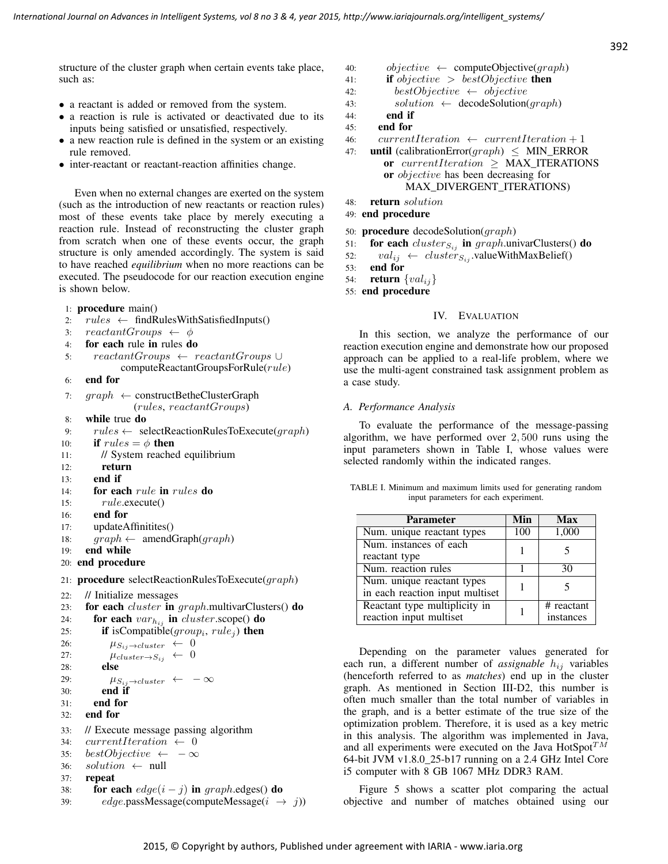structure of the cluster graph when certain events take place, such as:

- a reactant is added or removed from the system.
- a reaction is rule is activated or deactivated due to its inputs being satisfied or unsatisfied, respectively.
- a new reaction rule is defined in the system or an existing rule removed.
- inter-reactant or reactant-reaction affinities change.

Even when no external changes are exerted on the system (such as the introduction of new reactants or reaction rules) most of these events take place by merely executing a reaction rule. Instead of reconstructing the cluster graph from scratch when one of these events occur, the graph structure is only amended accordingly. The system is said to have reached *equilibrium* when no more reactions can be executed. The pseudocode for our reaction execution engine is shown below.

## 1: procedure main()

- 2:  $rules \leftarrow findRulesWithSatisfiedInputStream()$
- 3:  $reactant Groups \leftarrow \phi$
- 4: for each rule in rules do
- 5: reactantGroups ← reactantGroups ∪ computeReactantGroupsForRule(rule)

```
6: end for
```

```
7: graph \leftarrow constructBetheClusterGraph(rules, reactantGroups)
```
- 8: while true do
- 9:  $rules \leftarrow selectReactionRulesToExecute(graph)$
- 10: **if**  $rules = \phi$  then
- 11: // System reached equilibrium
- 12: return
- 13: end if
- 14: for each rule in rules do
- 15: rule.execute()
- 16: end for
- 17: updateAffinitites()
- 18:  $graph \leftarrow \text{amendGraph}(graph)$
- 19: end while
- 20: end procedure

```
21: procedure selectReactionRulesToExecute(graph)
```

```
22: // Initialize messages
```

```
23: for each cluster in graph.multivarClusters() do
```

```
24: for each var_{h_{ij}} in cluster.scope() do<br>25: if isCompatible(aroup<sub>i</sub>, rule<sub>i</sub>) then
```

```
25: if is Compatible (group_i, rule_j) then
```

```
26: \mu_{S_{ij}\rightarrow cluster} \leftarrow 0
```

```
27: \mu_{cluster \to S_{ij}} \leftarrow 0
```

```
28: else
```

```
29: \mu_{S_{ij}\rightarrow cluster} \leftarrow -\infty
```

```
30: end if
```

```
31: end for
```

```
32: end for
```

```
33: // Execute message passing algorithm
```

```
34: currentIteration \leftarrow 0
```

```
35: bestObjective \leftarrow -\infty
```
- 36:  $solution \leftarrow null$
- 37: repeat
- 38: for each  $edge(i j)$  in graph.edges() do
- 39:  $edge$ , passMessage(*computeMessage*( $i \rightarrow j$ ))
- 40:  $objective \leftarrow computeObjective(graph)$
- 41: **if** objective  $> bestObjective$  then
- 42: bestObjective  $\leftarrow$  objective
- 43:  $solution \leftarrow decodeSolution(graph)$
- 44: end if
- 45: end for
- 46: currentIteration  $\leftarrow$  currentIteration + 1
- 47: **until** (calibrationError( $graph$ ) < MIN ERROR or currentIteration  $\geq$  MAX\_ITERATIONS or objective has been decreasing for MAX\_DIVERGENT\_ITERATIONS)
- 48: return solution
- 49: end procedure
- 50: **procedure** decodeSolution( $graph$ )
- 51: for each  $cluster_{Si}$  in graph.univarClusters() do
- 52:  $val_{ij} \leftarrow cluster_{S_{ij}}$ .valueWithMaxBelief()<br>53. **end for**

53: end for

- 54: **return**  $\{val_{ij}\}$
- 55: end procedure

# IV. EVALUATION

In this section, we analyze the performance of our reaction execution engine and demonstrate how our proposed approach can be applied to a real-life problem, where we use the multi-agent constrained task assignment problem as a case study.

## *A. Performance Analysis*

To evaluate the performance of the message-passing algorithm, we have performed over 2, 500 runs using the input parameters shown in Table I, whose values were selected randomly within the indicated ranges.

|  |                                       |  | TABLE I. Minimum and maximum limits used for generating random |  |
|--|---------------------------------------|--|----------------------------------------------------------------|--|
|  | input parameters for each experiment. |  |                                                                |  |

| <b>Parameter</b>                | Min | <b>Max</b> |  |
|---------------------------------|-----|------------|--|
| Num. unique reactant types      | 100 | 1,000      |  |
| Num. instances of each          |     |            |  |
| reactant type                   |     |            |  |
| Num. reaction rules             |     | 30         |  |
| Num. unique reactant types      |     |            |  |
| in each reaction input multiset |     |            |  |
| Reactant type multiplicity in   |     | # reactant |  |
| reaction input multiset         |     | instances  |  |

Depending on the parameter values generated for each run, a different number of *assignable*  $h_{ij}$  variables (henceforth referred to as *matches*) end up in the cluster graph. As mentioned in Section III-D2, this number is often much smaller than the total number of variables in the graph, and is a better estimate of the true size of the optimization problem. Therefore, it is used as a key metric in this analysis. The algorithm was implemented in Java, and all experiments were executed on the Java HotSpot $^{TM}$ 64-bit JVM v1.8.0\_25-b17 running on a 2.4 GHz Intel Core i5 computer with 8 GB 1067 MHz DDR3 RAM.

Figure 5 shows a scatter plot comparing the actual objective and number of matches obtained using our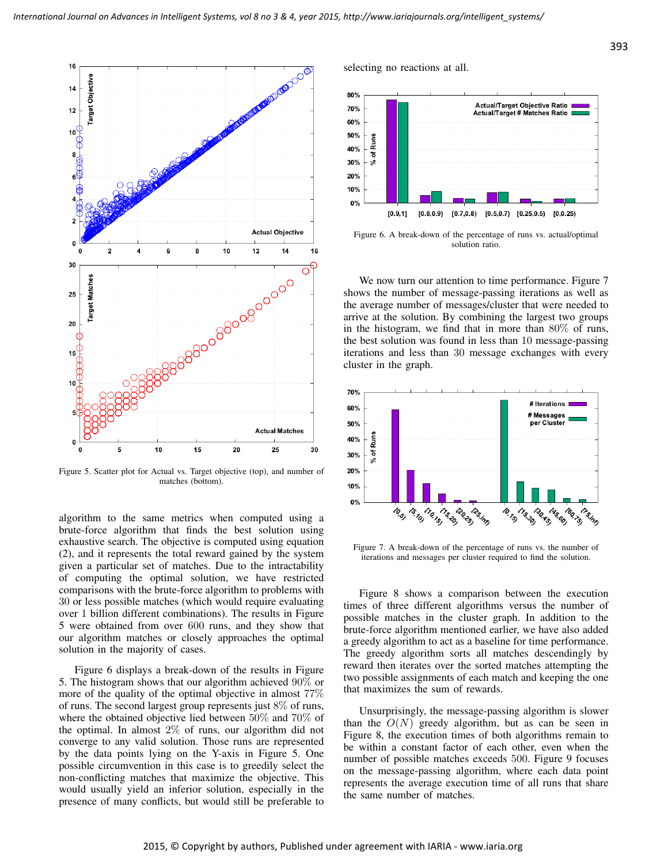

Figure 5. Scatter plot for Actual vs. Target objective (top), and number of matches (bottom).

algorithm to the same metrics when computed using a brute-force algorithm that finds the best solution using exhaustive search. The objective is computed using equation (2), and it represents the total reward gained by the system given a particular set of matches. Due to the intractability of computing the optimal solution, we have restricted comparisons with the brute-force algorithm to problems with 30 or less possible matches (which would require evaluating over 1 billion different combinations). The results in Figure 5 were obtained from over 600 runs, and they show that our algorithm matches or closely approaches the optimal solution in the majority of cases.

Figure 6 displays a break-down of the results in Figure 5. The histogram shows that our algorithm achieved 90% or more of the quality of the optimal objective in almost 77% of runs. The second largest group represents just 8% of runs, where the obtained objective lied between 50% and 70% of the optimal. In almost  $2\%$  of runs, our algorithm did not converge to any valid solution. Those runs are represented by the data points lying on the Y-axis in Figure 5. One possible circumvention in this case is to greedily select the non-conflicting matches that maximize the objective. This would usually yield an inferior solution, especially in the presence of many conflicts, but would still be preferable to selecting no reactions at all.



Figure 6. A break-down of the percentage of runs vs. actual/optimal solution ratio.

We now turn our attention to time performance. Figure 7 shows the number of message-passing iterations as well as the average number of messages/cluster that were needed to arrive at the solution. By combining the largest two groups in the histogram, we find that in more than 80% of runs, the best solution was found in less than 10 message-passing iterations and less than 30 message exchanges with every cluster in the graph.



Figure 7. A break-down of the percentage of runs vs. the number of iterations and messages per cluster required to find the solution.

Figure 8 shows a comparison between the execution times of three different algorithms versus the number of possible matches in the cluster graph. In addition to the brute-force algorithm mentioned earlier, we have also added a greedy algorithm to act as a baseline for time performance. The greedy algorithm sorts all matches descendingly by reward then iterates over the sorted matches attempting the two possible assignments of each match and keeping the one that maximizes the sum of rewards.

Unsurprisingly, the message-passing algorithm is slower than the  $O(N)$  greedy algorithm, but as can be seen in Figure 8, the execution times of both algorithms remain to be within a constant factor of each other, even when the number of possible matches exceeds 500. Figure 9 focuses on the message-passing algorithm, where each data point represents the average execution time of all runs that share the same number of matches.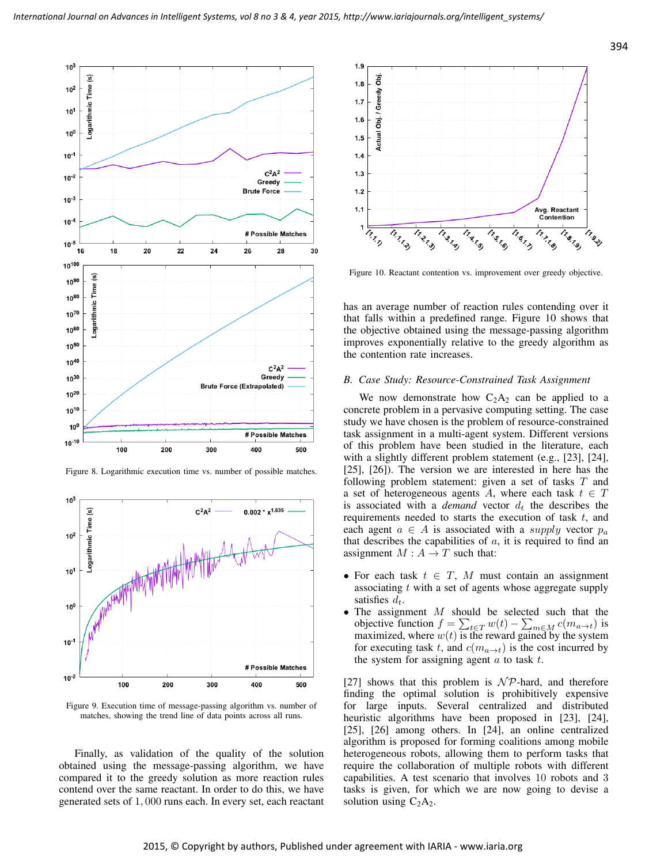

Figure 8. Logarithmic execution time vs. number of possible matches.



Figure 9. Execution time of message-passing algorithm vs. number of matches, showing the trend line of data points across all runs.

Finally, as validation of the quality of the solution obtained using the message-passing algorithm, we have compared it to the greedy solution as more reaction rules contend over the same reactant. In order to do this, we have generated sets of 1, 000 runs each. In every set, each reactant



Figure 10. Reactant contention vs. improvement over greedy objective.

has an average number of reaction rules contending over it that falls within a predefined range. Figure 10 shows that the objective obtained using the message-passing algorithm improves exponentially relative to the greedy algorithm as the contention rate increases.

## *B. Case Study: Resource-Constrained Task Assignment*

We now demonstrate how  $C_2A_2$  can be applied to a concrete problem in a pervasive computing setting. The case study we have chosen is the problem of resource-constrained task assignment in a multi-agent system. Different versions of this problem have been studied in the literature, each with a slightly different problem statement (e.g., [23], [24], [25], [26]). The version we are interested in here has the following problem statement: given a set of tasks T and a set of heterogeneous agents A, where each task  $t \in T$ is associated with a *demand* vector  $d_t$  the describes the requirements needed to starts the execution of task  $t$ , and each agent  $a \in A$  is associated with a *supply* vector  $p_a$ that describes the capabilities of  $a$ , it is required to find an assignment  $M : A \rightarrow T$  such that:

- For each task  $t \in T$ , M must contain an assignment associating  $t$  with a set of agents whose aggregate supply satisfies  $d_t$ .
- The assignment  $M$  should be selected such that the objective function  $f = \sum_{t \in T} w(t) - \sum_{m \in M} c(m_{a \to t})$  is maximized, where  $w(t)$  is the reward gained by the system for executing task t, and  $c(m_{a\rightarrow t})$  is the cost incurred by the system for assigning agent  $a$  to task  $t$ .

[27] shows that this problem is  $N \mathcal{P}$ -hard, and therefore finding the optimal solution is prohibitively expensive for large inputs. Several centralized and distributed heuristic algorithms have been proposed in [23], [24], [25], [26] among others. In [24], an online centralized algorithm is proposed for forming coalitions among mobile heterogeneous robots, allowing them to perform tasks that require the collaboration of multiple robots with different capabilities. A test scenario that involves 10 robots and 3 tasks is given, for which we are now going to devise a solution using  $C_2A_2$ .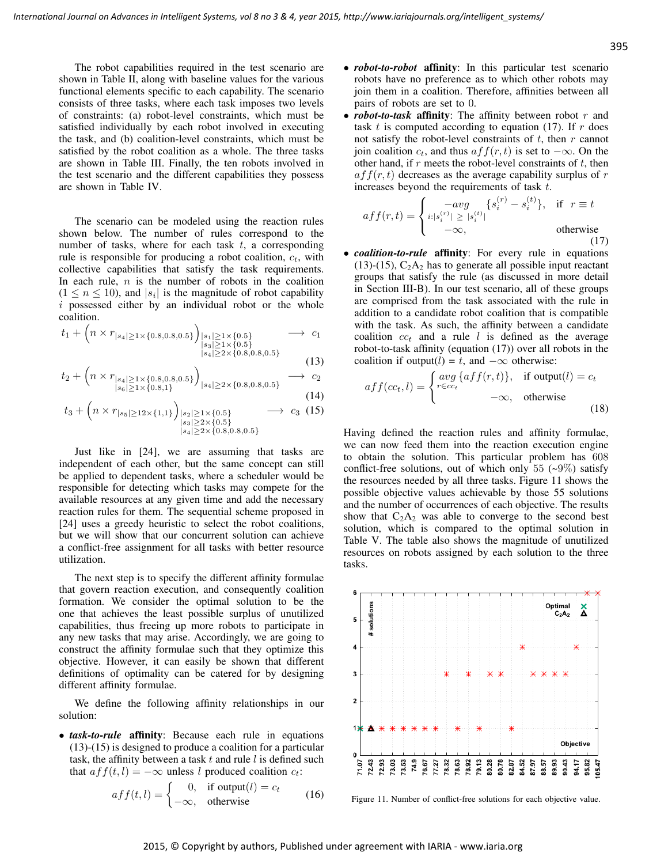The robot capabilities required in the test scenario are shown in Table II, along with baseline values for the various functional elements specific to each capability. The scenario consists of three tasks, where each task imposes two levels of constraints: (a) robot-level constraints, which must be satisfied individually by each robot involved in executing the task, and (b) coalition-level constraints, which must be satisfied by the robot coalition as a whole. The three tasks are shown in Table III. Finally, the ten robots involved in the test scenario and the different capabilities they possess are shown in Table IV.

The scenario can be modeled using the reaction rules shown below. The number of rules correspond to the number of tasks, where for each task  $t$ , a corresponding rule is responsible for producing a robot coalition,  $c_t$ , with collective capabilities that satisfy the task requirements. In each rule,  $n$  is the number of robots in the coalition  $(1 \le n \le 10)$ , and  $|s_i|$  is the magnitude of robot capability  $i$  possessed either by an individual robot or the whole coalition.

$$
t_1 + \left(n \times r_{|s_4| \ge 1 \times \{0.8, 0.8, 0.5\}}\right)_{\substack{|s_1| \ge 1 \times \{0.5\} \\ |s_3| \ge 1 \times \{0.5\}}}\n\longrightarrow c_1
$$
  
\n
$$
\downarrow s_4 \ge 2 \times \{0.8, 0.8, 0.5\}
$$

(13)  

$$
t_2 + \left(n \times r_{|s_4| \ge 1 \times \{0.8, 0.8, 0.5\}}\right)_{|s_4| \ge 0 \times \{0.8, 0.8, 0.5\}} \longrightarrow c_2
$$

$$
\sum_{\substack{|s_4| \ge 1 \times \{0.8, 0.8, 0.3\} \\ |s_6| \ge 1 \times \{0.8, 1\}}} |s_4| \ge 2 \times \{0.8, 0.8, 0.5\}
$$
 (14)

$$
t_3 + \left(n \times r_{|s_5| \ge 12 \times \{1,1\}}\right)_{\substack{|s_2| \ge 1 \times \{0.5\} \\ |s_4| \ge 2 \times \{0.8, 0.8, 0.5\}}} \longrightarrow c_3 \tag{15}
$$

Just like in [24], we are assuming that tasks are independent of each other, but the same concept can still be applied to dependent tasks, where a scheduler would be responsible for detecting which tasks may compete for the available resources at any given time and add the necessary reaction rules for them. The sequential scheme proposed in [24] uses a greedy heuristic to select the robot coalitions, but we will show that our concurrent solution can achieve a conflict-free assignment for all tasks with better resource utilization.

The next step is to specify the different affinity formulae that govern reaction execution, and consequently coalition formation. We consider the optimal solution to be the one that achieves the least possible surplus of unutilized capabilities, thus freeing up more robots to participate in any new tasks that may arise. Accordingly, we are going to construct the affinity formulae such that they optimize this objective. However, it can easily be shown that different definitions of optimality can be catered for by designing different affinity formulae.

We define the following affinity relationships in our solution:

• *task-to-rule* affinity: Because each rule in equations (13)-(15) is designed to produce a coalition for a particular task, the affinity between a task  $t$  and rule  $l$  is defined such that  $aff(t, l) = -\infty$  unless l produced coalition  $c_t$ :

$$
aff(t, l) = \begin{cases} 0, & \text{if output}(l) = c_t \\ -\infty, & \text{otherwise} \end{cases} (16)
$$

- *robot-to-robot* affinity: In this particular test scenario robots have no preference as to which other robots may join them in a coalition. Therefore, affinities between all pairs of robots are set to 0.
- *robot-to-task* affinity: The affinity between robot r and task  $t$  is computed according to equation (17). If  $r$  does not satisfy the robot-level constraints of  $t$ , then  $r$  cannot join coalition  $c_t$ , and thus  $aff(r, t)$  is set to  $-\infty$ . On the other hand, if  $r$  meets the robot-level constraints of  $t$ , then  $aff(r, t)$  decreases as the average capability surplus of r increases beyond the requirements of task t.

$$
aff(r,t) = \begin{cases} -avg & \{s_i^{(r)} - s_i^{(t)}\}, & \text{if } r \equiv t \\ i: |s_i^{(r)}| \ge |s_i^{(t)}| \\ -\infty, & \text{otherwise} \end{cases}
$$
(17)

• *coalition-to-rule* affinity: For every rule in equations  $(13)-(15)$ ,  $C_2A_2$  has to generate all possible input reactant groups that satisfy the rule (as discussed in more detail in Section III-B). In our test scenario, all of these groups are comprised from the task associated with the rule in addition to a candidate robot coalition that is compatible with the task. As such, the affinity between a candidate coalition  $cc_t$  and a rule l is defined as the average robot-to-task affinity (equation (17)) over all robots in the coalition if output(l) = t, and  $-\infty$  otherwise:

$$
aff(cc_t, l) = \begin{cases} avg\{aff(r, t)\}, & \text{if output}(l) = c_t \\ r \in cc_t \\ -\infty, & \text{otherwise} \end{cases}
$$
(18)

Having defined the reaction rules and affinity formulae, we can now feed them into the reaction execution engine to obtain the solution. This particular problem has 608 conflict-free solutions, out of which only 55  $(-9\%)$  satisfy the resources needed by all three tasks. Figure 11 shows the possible objective values achievable by those 55 solutions and the number of occurrences of each objective. The results show that  $C_2A_2$  was able to converge to the second best solution, which is compared to the optimal solution in Table V. The table also shows the magnitude of unutilized resources on robots assigned by each solution to the three tasks.



Figure 11. Number of conflict-free solutions for each objective value.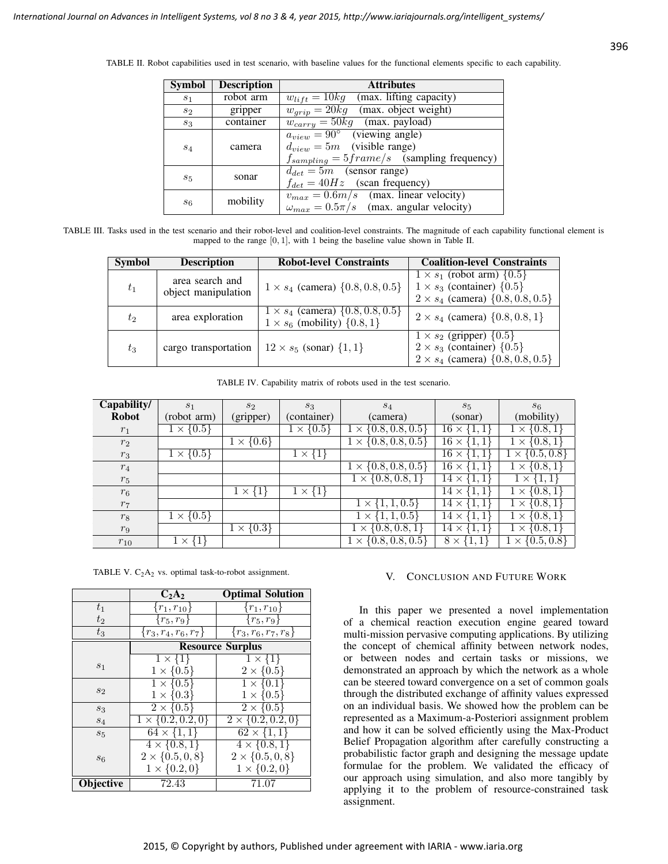| Symbol         | <b>Description</b> | <b>Attributes</b>                                                                                                            |  |  |
|----------------|--------------------|------------------------------------------------------------------------------------------------------------------------------|--|--|
| S <sub>1</sub> | robot arm          | $w_{lift} = 10kg$ (max. lifting capacity)                                                                                    |  |  |
| $s_2$          | gripper            | $w_{qrip} = 20kg$ (max. object weight)                                                                                       |  |  |
| $s_3$          | container          | $w_{carry} = 50kg$ (max. payload)                                                                                            |  |  |
| $S_4$          | camera             | $a_{view} = 90^{\circ}$ (viewing angle)<br>$d_{view} = 5m$ (visible range)<br>$f_{sampling} = 5frame/s$ (sampling frequency) |  |  |
| $s_5$          | sonar              | $d_{det} = 5m$ (sensor range)<br>$f_{det} = 40Hz$ (scan frequency)                                                           |  |  |
| $s_6$          | mobility           | $v_{max} = 0.6m/s$ (max. linear velocity)<br>$\omega_{max} = 0.5\pi/s$ (max. angular velocity)                               |  |  |

TABLE II. Robot capabilities used in test scenario, with baseline values for the functional elements specific to each capability.

TABLE III. Tasks used in the test scenario and their robot-level and coalition-level constraints. The magnitude of each capability functional element is mapped to the range [0, 1], with 1 being the baseline value shown in Table II.

| <b>Symbol</b> | <b>Description</b>                     | <b>Robot-level Constraints</b>                                                        | <b>Coalition-level Constraints</b>                                                                                                   |
|---------------|----------------------------------------|---------------------------------------------------------------------------------------|--------------------------------------------------------------------------------------------------------------------------------------|
| $t_1$         | area search and<br>object manipulation | $1 \times s_4$ (camera) $\{0.8, 0.8, 0.5\}$                                           | $1 \times s_1$ (robot arm) $\{0.5\}$<br>$1 \times s_3$ (container) $\{0.5\}$<br>$2 \times s_4$ (camera) $\{0.8, 0.8, 0.5\}$          |
| $t_2$         | area exploration                       | $1 \times s_4$ (camera) $\{0.8, 0.8, 0.5\}$<br>$1 \times s_6$ (mobility) $\{0.8, 1\}$ | $2 \times s_4$ (camera) $\{0.8, 0.8, 1\}$                                                                                            |
| $t_3$         | cargo transportation                   | $12 \times s_5$ (sonar) $\{1, 1\}$                                                    | $1 \times s_2$ (gripper) $\overline{\{0.5\}}$<br>$2 \times s_3$ (container) $\{0.5\}$<br>$2 \times s_4$ (camera) $\{0.8, 0.8, 0.5\}$ |

TABLE IV. Capability matrix of robots used in the test scenario.

| Capability/    | S <sub>1</sub>       | $s_2$              | $S_3$             | $S_4$                            | $s_{5}$                             | $s_6$                       |
|----------------|----------------------|--------------------|-------------------|----------------------------------|-------------------------------------|-----------------------------|
| <b>Robot</b>   | (robot arm)          | (gripper)          | (container)       | (camera)                         | (sonar)                             | (mobility)                  |
| $r_1$          | $1 \times \{0.5\}$   |                    | $\propto \{0.5\}$ | $\{0.8, 0.8, 0.5\}$<br>$1\times$ | $\overline{16} \times \{1,1$        | $1 \times \{0.8, 1$         |
| $r_2$          |                      | $1 \times \{0.6\}$ |                   | $\{0.8, 0.8, 0.5\}$<br>$\times$  | $\overline{16} \times \{1,1$        | $1 \times \{0.8, 1$         |
| $r_3$          | $1 \times \{0.5\}$   |                    | $1 \times \{1\}$  |                                  | $16 \times$<br>$\{1,1\}$            | $\{0.5, 0.8\}$<br>$1\times$ |
| $r_4$          |                      |                    |                   | $\{0.8, 0.8, 0.5\}$<br>$\times$  | $16 \times$<br>$\{1,1$              | $\{0.8, 1\}$<br>$1\times$   |
| $r_5$          |                      |                    |                   | $\{0.8, 0.8, 1\}$<br>$1 \times$  | $14 \times$                         | 1,<br>$\mathbf{X}$          |
| $r_6$          |                      | $1 \times \{1\}$   | $1 \times \{1\}$  |                                  | $14 \times$                         | $1 \times \{0.8, 1$         |
| r <sub>7</sub> |                      |                    |                   | $1 \times \{1, 1, 0.5\}$         | $14 \times$                         | $1 \times \{0.8, 1$         |
| $r_8$          | $1 \times \{0.5\}$   |                    |                   | $1 \times \{1, 1, 0.5\}$         | $14 \times$                         | $1 \times \{0.8, 1\}$       |
| r <sub>9</sub> |                      | $1 \times \{0.3\}$ |                   | $\{0.8, 0.8, 1\}$<br>$1\times$   | $\left\{1,1\right\}$<br>$14 \times$ | $1 \times \{0.8, 1$         |
| $r_{10}$       | $\{1\}$<br>$1\times$ |                    |                   | $\{0.8, 0.8, 0.5\}$<br>$\times$  | $8 \times \{1,$                     | $\{0.5, 0.8\}$<br>$\times$  |

TABLE V.  $C_2A_2$  vs. optimal task-to-robot assignment.

|                | $C_2A_2$                   | <b>Optimal Solution</b>    |  |
|----------------|----------------------------|----------------------------|--|
| $t_{1}$        | $\{r_{1}, r_{10}\}$        | ${r_1,r_{10}}$             |  |
| $t_2$          | $\{r_5,r_9\}$              | ${r_5,r_9}$                |  |
| $t_3$          | $\{r_3, r_4, r_6, r_7\}$   | ${r_3, r_6, r_7, r_8}$     |  |
|                | <b>Resource Surplus</b>    |                            |  |
|                | $1 \times \{1\}$           | $1 \times \{1\}$           |  |
| s <sub>1</sub> | $1 \times \{0.5\}$         | $2 \times \{0.5\}$         |  |
|                | $1 \times \{0.5\}$         | $1 \times \{0.1\}$         |  |
| $s_2$          | $1 \times \{0.3\}$         | $1 \times \{0.5\}$         |  |
| $s_3$          | $2\times\{0.5\}$           | $2\times\{0.5\}$           |  |
| $S_4$          | $1 \times \{0.2, 0.2, 0\}$ | $2 \times \{0.2, 0.2, 0\}$ |  |
| $s_{5}$        | $64 \times \{1,1\}$        | $62 \times \{1,1\}$        |  |
|                | $4 \times \{0.8, 1\}$      | $4 \times \{0.8, 1\}$      |  |
| $s_6$          | $2 \times \{0.5, 0, 8\}$   | $2 \times \{0.5, 0, 8\}$   |  |
|                | $1 \times \{0.2, 0\}$      | $1 \times \{0.2, 0\}$      |  |
| Objective      | $\overline{72.43}$         | 71.07                      |  |

# V. CONCLUSION AND FUTURE WORK

In this paper we presented a novel implementation of a chemical reaction execution engine geared toward multi-mission pervasive computing applications. By utilizing the concept of chemical affinity between network nodes, or between nodes and certain tasks or missions, we demonstrated an approach by which the network as a whole can be steered toward convergence on a set of common goals through the distributed exchange of affinity values expressed on an individual basis. We showed how the problem can be represented as a Maximum-a-Posteriori assignment problem and how it can be solved efficiently using the Max-Product Belief Propagation algorithm after carefully constructing a probabilistic factor graph and designing the message update formulae for the problem. We validated the efficacy of our approach using simulation, and also more tangibly by applying it to the problem of resource-constrained task assignment.